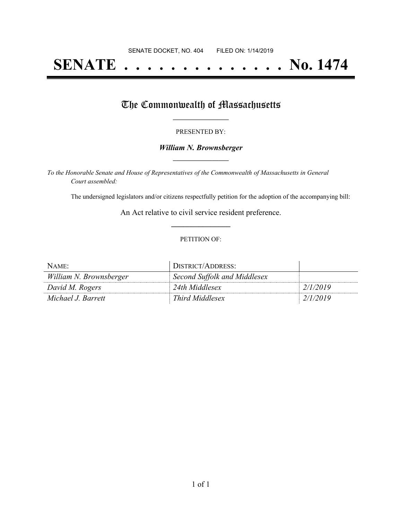# **SENATE . . . . . . . . . . . . . . No. 1474**

## The Commonwealth of Massachusetts

#### PRESENTED BY:

#### *William N. Brownsberger* **\_\_\_\_\_\_\_\_\_\_\_\_\_\_\_\_\_**

*To the Honorable Senate and House of Representatives of the Commonwealth of Massachusetts in General Court assembled:*

The undersigned legislators and/or citizens respectfully petition for the adoption of the accompanying bill:

An Act relative to civil service resident preference. **\_\_\_\_\_\_\_\_\_\_\_\_\_\_\_**

#### PETITION OF:

| NAME:                   | DISTRICT/ADDRESS:            |          |
|-------------------------|------------------------------|----------|
| William N. Brownsberger | Second Suffolk and Middlesex |          |
| David M. Rogers         | 24th Middlesex               | 2/1/2019 |
| Michael J. Barrett      | Third Middlesex              | 2/1/2019 |